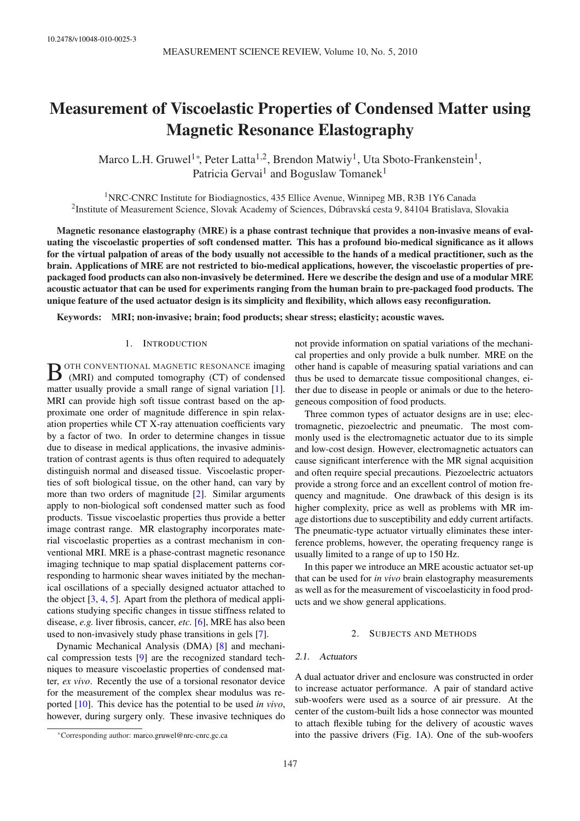# Measurement of Viscoelastic Properties of Condensed Matter using Magnetic Resonance Elastography

Marco L.H. Gruwel<sup>1\*</sup>, Peter Latta<sup>1,2</sup>, Brendon Matwiy<sup>1</sup>, Uta Sboto-Frankenstein<sup>1</sup>, Patricia Gervai<sup>1</sup> and Boguslaw Tomanek<sup>1</sup>

<sup>1</sup>NRC-CNRC Institute for Biodiagnostics, 435 Ellice Avenue, Winnipeg MB, R3B 1Y6 Canada 2 Institute of Measurement Science, Slovak Academy of Sciences, Dúbravská cesta 9, 84104 Bratislava, Slovakia

Magnetic resonance elastography (MRE) is a phase contrast technique that provides a non-invasive means of evaluating the viscoelastic properties of soft condensed matter. This has a profound bio-medical significance as it allows for the virtual palpation of areas of the body usually not accessible to the hands of a medical practitioner, such as the brain. Applications of MRE are not restricted to bio-medical applications, however, the viscoelastic properties of prepackaged food products can also non-invasively be determined. Here we describe the design and use of a modular MRE acoustic actuator that can be used for experiments ranging from the human brain to pre-packaged food products. The unique feature of the used actuator design is its simplicity and flexibility, which allows easy reconfiguration.

Keywords: MRI; non-invasive; brain; food products; shear stress; elasticity; acoustic waves.

#### 1. INTRODUCTION

B <sup>OTH CONVENTIONAL MAGNETIC RESONANCE imaging (MRI) and computed tomography (CT) of condensed</sup> (MRI) and computed tomography (CT) of condensed matter usually provide a small range of signal variation [1]. MRI can provide high soft tissue contrast based on the approximate one order of magnitude difference in spin relaxation properties while CT X-ray attenuation coefficients vary by a factor of two. In order to determine changes in tissue due to disease in medical applications, the invasive administration of contrast agents is thus often required to adequately distinguish normal and diseased tissue. Viscoelastic properties of soft biological tissue, on the other hand, can vary by more than two orders of magnitude [2]. Similar arguments apply to non-biological soft condensed matter such as food products. Tissue viscoelastic properties thus provide a better image contrast range. MR elastography incorporates material viscoelastic properties as a contrast mechanism in conventional MRI. MRE is a phase-contrast magnetic resonance imaging technique to map spatial displacement patterns corresponding to harmonic shear waves initiated by the mechanical oscillations of a specially designed actuator attached to the object  $[3, 4, 5]$ . Apart from the plethora of medical applications studying specific changes in tissue stiffness related to disease, *e.g.* liver fibrosis, cancer, *etc.* [6], MRE has also been used to non-invasively study phase transitions in gels [7].

Dynamic Mechanical Analysis (DMA) [8] and mechanical compression tests [9] are the recognized standard techniques to measure viscoelastic properties of condensed matter, *ex vivo*. Recently the use of a torsional resonator device for the measurement of the complex shear modulus was reported [10]. This device has the potential to be used *in vivo*, however, during surgery only. These invasive techniques do not provide information on spatial variations of the mechanical properties and only provide a bulk number. MRE on the other hand is capable of measuring spatial variations and can thus be used to demarcate tissue compositional changes, either due to disease in people or animals or due to the heterogeneous composition of food products.

Three common types of actuator designs are in use; electromagnetic, piezoelectric and pneumatic. The most commonly used is the electromagnetic actuator due to its simple and low-cost design. However, electromagnetic actuators can cause significant interference with the MR signal acquisition and often require special precautions. Piezoelectric actuators provide a strong force and an excellent control of motion frequency and magnitude. One drawback of this design is its higher complexity, price as well as problems with MR image distortions due to susceptibility and eddy current artifacts. The pneumatic-type actuator virtually eliminates these interference problems, however, the operating frequency range is usually limited to a range of up to 150 Hz.

In this paper we introduce an MRE acoustic actuator set-up that can be used for *in vivo* brain elastography measurements as well as for the measurement of viscoelasticity in food products and we show general applications.

#### 2. SUBJECTS AND METHODS

#### 2.1. Actuators

A dual actuator driver and enclosure was constructed in order to increase actuator performance. A pair of standard active sub-woofers were used as a source of air pressure. At the center of the custom-built lids a hose connector was mounted to attach flexible tubing for the delivery of acoustic waves into the passive drivers (Fig. 1A). One of the sub-woofers

<sup>∗</sup>Corresponding author: marco.gruwel@nrc-cnrc.gc.ca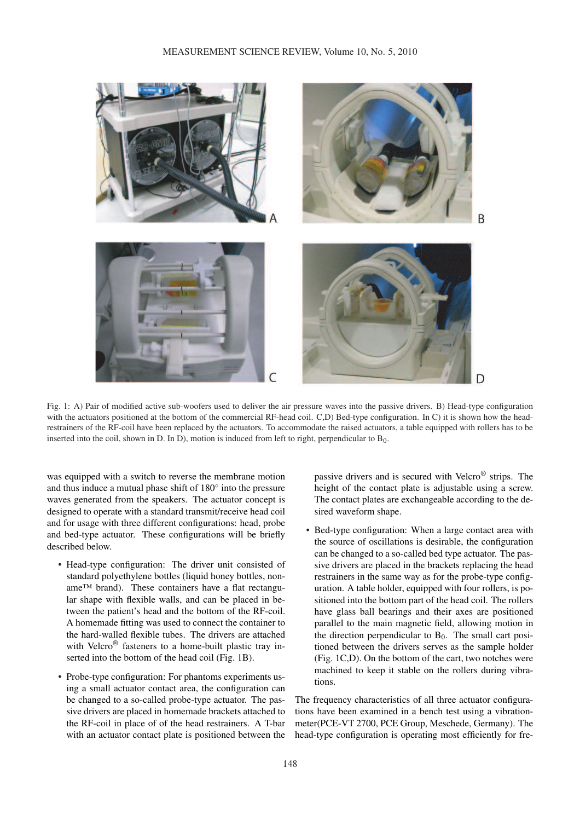

Fig. 1: A) Pair of modified active sub-woofers used to deliver the air pressure waves into the passive drivers. B) Head-type configuration with the actuators positioned at the bottom of the commercial RF-head coil. C,D) Bed-type configuration. In C) it is shown how the headrestrainers of the RF-coil have been replaced by the actuators. To accommodate the raised actuators, a table equipped with rollers has to be inserted into the coil, shown in D. In D), motion is induced from left to right, perpendicular to  $B_0$ .

was equipped with a switch to reverse the membrane motion and thus induce a mutual phase shift of  $180^\circ$  into the pressure waves generated from the speakers. The actuator concept is designed to operate with a standard transmit/receive head coil and for usage with three different configurations: head, probe and bed-type actuator. These configurations will be briefly described below.

- Head-type configuration: The driver unit consisted of standard polyethylene bottles (liquid honey bottles, noname™ brand). These containers have a flat rectangular shape with flexible walls, and can be placed in between the patient's head and the bottom of the RF-coil. A homemade fitting was used to connect the container to the hard-walled flexible tubes. The drivers are attached with Velcro<sup>®</sup> fasteners to a home-built plastic tray inserted into the bottom of the head coil (Fig. 1B).
- Probe-type configuration: For phantoms experiments using a small actuator contact area, the configuration can be changed to a so-called probe-type actuator. The passive drivers are placed in homemade brackets attached to the RF-coil in place of of the head restrainers. A T-bar with an actuator contact plate is positioned between the

passive drivers and is secured with Velcro® strips. The height of the contact plate is adjustable using a screw. The contact plates are exchangeable according to the desired waveform shape.

• Bed-type configuration: When a large contact area with the source of oscillations is desirable, the configuration can be changed to a so-called bed type actuator. The passive drivers are placed in the brackets replacing the head restrainers in the same way as for the probe-type configuration. A table holder, equipped with four rollers, is positioned into the bottom part of the head coil. The rollers have glass ball bearings and their axes are positioned parallel to the main magnetic field, allowing motion in the direction perpendicular to  $B_0$ . The small cart positioned between the drivers serves as the sample holder (Fig. 1C,D). On the bottom of the cart, two notches were machined to keep it stable on the rollers during vibrations.

The frequency characteristics of all three actuator configurations have been examined in a bench test using a vibrationmeter(PCE-VT 2700, PCE Group, Meschede, Germany). The head-type configuration is operating most efficiently for fre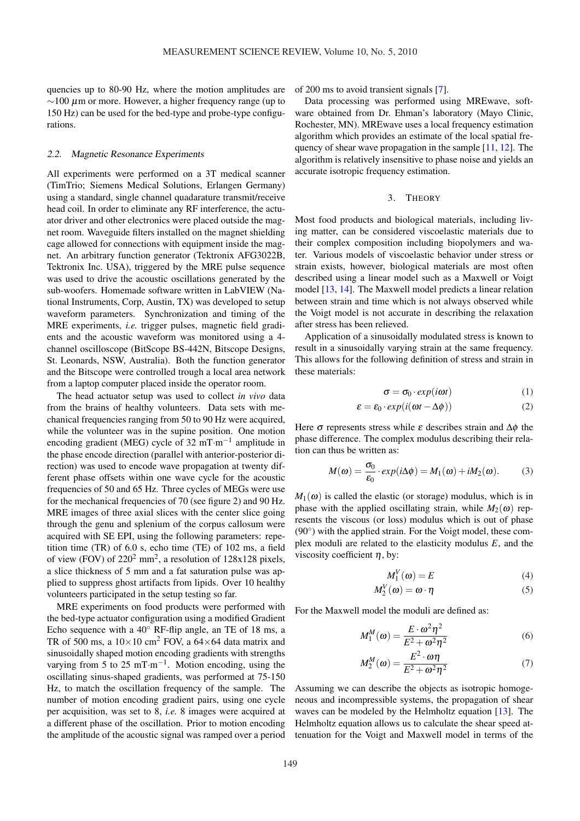quencies up to 80-90 Hz, where the motion amplitudes are  $\sim$ 100 µm or more. However, a higher frequency range (up to 150 Hz) can be used for the bed-type and probe-type configurations.

### 2.2. Magnetic Resonance Experiments

All experiments were performed on a 3T medical scanner (TimTrio; Siemens Medical Solutions, Erlangen Germany) using a standard, single channel quadarature transmit/receive head coil. In order to eliminate any RF interference, the actuator driver and other electronics were placed outside the magnet room. Waveguide filters installed on the magnet shielding cage allowed for connections with equipment inside the magnet. An arbitrary function generator (Tektronix AFG3022B, Tektronix Inc. USA), triggered by the MRE pulse sequence was used to drive the acoustic oscillations generated by the sub-woofers. Homemade software written in LabVIEW (National Instruments, Corp, Austin, TX) was developed to setup waveform parameters. Synchronization and timing of the MRE experiments, *i.e.* trigger pulses, magnetic field gradients and the acoustic waveform was monitored using a 4 channel oscilloscope (BitScope BS-442N, Bitscope Designs, St. Leonards, NSW, Australia). Both the function generator and the Bitscope were controlled trough a local area network from a laptop computer placed inside the operator room.

The head actuator setup was used to collect *in vivo* data from the brains of healthy volunteers. Data sets with mechanical frequencies ranging from 50 to 90 Hz were acquired, while the volunteer was in the supine position. One motion encoding gradient (MEG) cycle of 32 mT·m<sup>-1</sup> amplitude in the phase encode direction (parallel with anterior-posterior direction) was used to encode wave propagation at twenty different phase offsets within one wave cycle for the acoustic frequencies of 50 and 65 Hz. Three cycles of MEGs were use for the mechanical frequencies of 70 (see figure 2) and 90 Hz. MRE images of three axial slices with the center slice going through the genu and splenium of the corpus callosum were acquired with SE EPI, using the following parameters: repetition time (TR) of 6.0 s, echo time (TE) of 102 ms, a field of view (FOV) of  $220^2$  mm<sup>2</sup>, a resolution of 128x128 pixels, a slice thickness of 5 mm and a fat saturation pulse was applied to suppress ghost artifacts from lipids. Over 10 healthy volunteers participated in the setup testing so far.

MRE experiments on food products were performed with the bed-type actuator configuration using a modified Gradient Echo sequence with a 40◦ RF-flip angle, an TE of 18 ms, a TR of 500 ms, a  $10 \times 10$  cm<sup>2</sup> FOV, a  $64 \times 64$  data matrix and sinusoidally shaped motion encoding gradients with strengths varying from 5 to 25 mT⋅m<sup>-1</sup>. Motion encoding, using the oscillating sinus-shaped gradients, was performed at 75-150 Hz, to match the oscillation frequency of the sample. The number of motion encoding gradient pairs, using one cycle per acquisition, was set to 8, *i.e.* 8 images were acquired at a different phase of the oscillation. Prior to motion encoding the amplitude of the acoustic signal was ramped over a period of 200 ms to avoid transient signals [7].

Data processing was performed using MREwave, software obtained from Dr. Ehman's laboratory (Mayo Clinic, Rochester, MN). MREwave uses a local frequency estimation algorithm which provides an estimate of the local spatial frequency of shear wave propagation in the sample [11, 12]. The algorithm is relatively insensitive to phase noise and yields an accurate isotropic frequency estimation.

#### 3. THEORY

Most food products and biological materials, including living matter, can be considered viscoelastic materials due to their complex composition including biopolymers and water. Various models of viscoelastic behavior under stress or strain exists, however, biological materials are most often described using a linear model such as a Maxwell or Voigt model [13, 14]. The Maxwell model predicts a linear relation between strain and time which is not always observed while the Voigt model is not accurate in describing the relaxation after stress has been relieved.

Application of a sinusoidally modulated stress is known to result in a sinusoidally varying strain at the same frequency. This allows for the following definition of stress and strain in these materials:

$$
\sigma = \sigma_0 \cdot exp(i\omega t) \tag{1}
$$

$$
\varepsilon = \varepsilon_0 \cdot \exp(i(\omega t - \Delta \phi)) \tag{2}
$$

Here  $\sigma$  represents stress while  $\varepsilon$  describes strain and  $\Delta \phi$  the phase difference. The complex modulus describing their relation can thus be written as:

$$
M(\omega) = \frac{\sigma_0}{\epsilon_0} \cdot exp(i\Delta\phi) = M_1(\omega) + iM_2(\omega). \tag{3}
$$

 $M_1(\omega)$  is called the elastic (or storage) modulus, which is in phase with the applied oscillating strain, while  $M_2(\omega)$  represents the viscous (or loss) modulus which is out of phase (90<sup>°</sup>) with the applied strain. For the Voigt model, these complex moduli are related to the elasticity modulus *E*, and the viscosity coefficient  $\eta$ , by:

$$
M_1^V(\omega) = E \tag{4}
$$

$$
M_2^V(\omega) = \omega \cdot \eta \tag{5}
$$

For the Maxwell model the moduli are defined as:

$$
M_1^M(\omega) = \frac{E \cdot \omega^2 \eta^2}{E^2 + \omega^2 \eta^2} \tag{6}
$$

$$
M_2^M(\omega) = \frac{E^2 \cdot \omega \eta}{E^2 + \omega^2 \eta^2} \tag{7}
$$

Assuming we can describe the objects as isotropic homogeneous and incompressible systems, the propagation of shear waves can be modeled by the Helmholtz equation [13]. The Helmholtz equation allows us to calculate the shear speed attenuation for the Voigt and Maxwell model in terms of the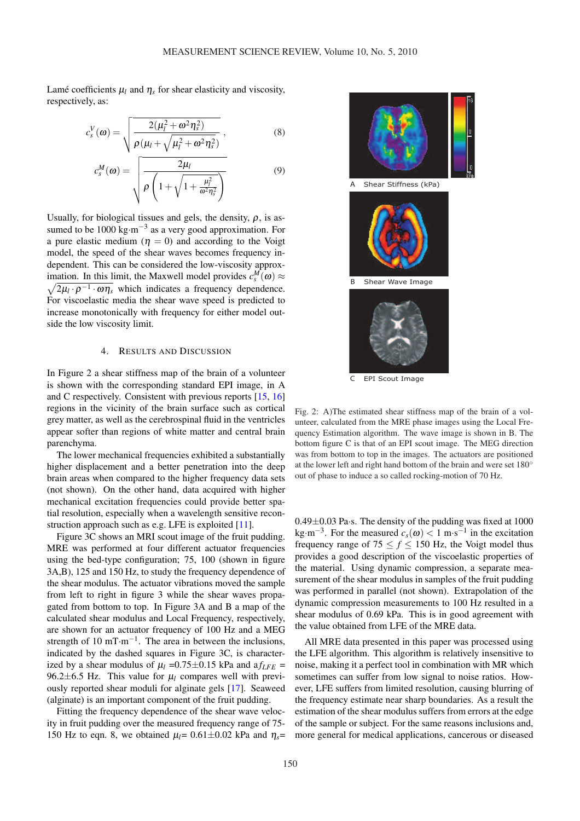Lamé coefficients  $\mu_l$  and  $\eta_s$  for shear elasticity and viscosity, respectively, as:

$$
c_s^V(\omega) = \sqrt{\frac{2(\mu_l^2 + \omega^2 \eta_s^2)}{\rho(\mu_l + \sqrt{\mu_l^2 + \omega^2 \eta_s^2})}},
$$
\n(8)

$$
c_s^M(\omega) = \sqrt{\frac{2\mu_l}{\rho \left(1 + \sqrt{1 + \frac{\mu_l^2}{\omega^2 \eta_s^2}}\right)}}
$$
(9)

Usually, for biological tissues and gels, the density,  $\rho$ , is assumed to be 1000 kg⋅m<sup>-3</sup> as a very good approximation. For a pure elastic medium ( $\eta = 0$ ) and according to the Voigt model, the speed of the shear waves becomes frequency independent. This can be considered the low-viscosity approximation. In this limit, the Maxwell model provides  $c_s^M(\omega) \approx$  $\overline{2\mu_l \cdot \rho^{-1} \cdot \omega \eta_s}$  which indicates a frequency dependence. For viscoelastic media the shear wave speed is predicted to increase monotonically with frequency for either model outside the low viscosity limit.

### 4. RESULTS AND DISCUSSION

In Figure 2 a shear stiffness map of the brain of a volunteer is shown with the corresponding standard EPI image, in A and C respectively. Consistent with previous reports [15, 16] regions in the vicinity of the brain surface such as cortical grey matter, as well as the cerebrospinal fluid in the ventricles appear softer than regions of white matter and central brain parenchyma.

The lower mechanical frequencies exhibited a substantially higher displacement and a better penetration into the deep brain areas when compared to the higher frequency data sets (not shown). On the other hand, data acquired with higher mechanical excitation frequencies could provide better spatial resolution, especially when a wavelength sensitive reconstruction approach such as e.g. LFE is exploited [11].

Figure 3C shows an MRI scout image of the fruit pudding. MRE was performed at four different actuator frequencies using the bed-type configuration; 75, 100 (shown in figure 3A,B), 125 and 150 Hz, to study the frequency dependence of the shear modulus. The actuator vibrations moved the sample from left to right in figure 3 while the shear waves propagated from bottom to top. In Figure 3A and B a map of the calculated shear modulus and Local Frequency, respectively, are shown for an actuator frequency of 100 Hz and a MEG strength of 10 mT·m<sup>-1</sup>. The area in between the inclusions, indicated by the dashed squares in Figure 3C, is characterized by a shear modulus of  $\mu_l$  =0.75 $\pm$ 0.15 kPa and a  $f_{LFE}$  = 96.2 $\pm$ 6.5 Hz. This value for  $\mu_l$  compares well with previously reported shear moduli for alginate gels [17]. Seaweed (alginate) is an important component of the fruit pudding.

Fitting the frequency dependence of the shear wave velocity in fruit pudding over the measured frequency range of 75- 150 Hz to eqn. 8, we obtained  $\mu_l$  = 0.61 ± 0.02 kPa and  $\eta_s$  =



Fig. 2: A)The estimated shear stiffness map of the brain of a volunteer, calculated from the MRE phase images using the Local Frequency Estimation algorithm. The wave image is shown in B. The bottom figure C is that of an EPI scout image. The MEG direction was from bottom to top in the images. The actuators are positioned at the lower left and right hand bottom of the brain and were set 180◦ out of phase to induce a so called rocking-motion of 70 Hz.

 $0.49\pm0.03$  Pa·s. The density of the pudding was fixed at 1000  $\text{kg}\cdot\text{m}^{-3}$ . For the measured  $c_s(\omega) < 1 \text{ m}\cdot\text{s}^{-1}$  in the excitation frequency range of 75  $\leq f \leq 150$  Hz, the Voigt model thus provides a good description of the viscoelastic properties of the material. Using dynamic compression, a separate measurement of the shear modulus in samples of the fruit pudding was performed in parallel (not shown). Extrapolation of the dynamic compression measurements to 100 Hz resulted in a shear modulus of 0.69 kPa. This is in good agreement with the value obtained from LFE of the MRE data.

All MRE data presented in this paper was processed using the LFE algorithm. This algorithm is relatively insensitive to noise, making it a perfect tool in combination with MR which sometimes can suffer from low signal to noise ratios. However, LFE suffers from limited resolution, causing blurring of the frequency estimate near sharp boundaries. As a result the estimation of the shear modulus suffers from errors at the edge of the sample or subject. For the same reasons inclusions and, more general for medical applications, cancerous or diseased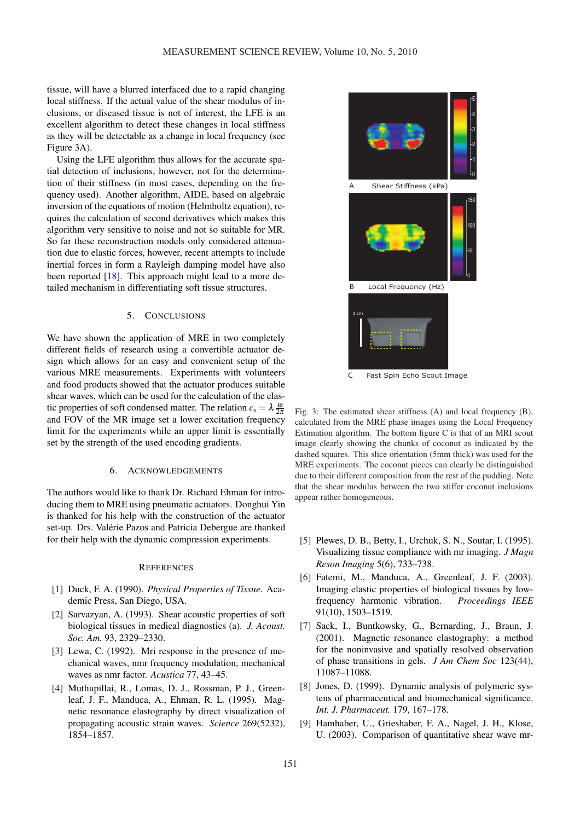tissue, will have a blurred interfaced due to a rapid changing local stiffness. If the actual value of the shear modulus of inclusions, or diseased tissue is not of interest, the LFE is an excellent algorithm to detect these changes in local stiffness as they will be detectable as a change in local frequency (see Figure 3A).

Using the LFE algorithm thus allows for the accurate spatial detection of inclusions, however, not for the determination of their stiffness (in most cases, depending on the frequency used). Another algorithm, AIDE, based on algebraic inversion of the equations of motion (Helmholtz equation), requires the calculation of second derivatives which makes this algorithm very sensitive to noise and not so suitable for MR. So far these reconstruction models only considered attenuation due to elastic forces, however, recent attempts to include inertial forces in form a Rayleigh damping model have also been reported [18]. This approach might lead to a more detailed mechanism in differentiating soft tissue structures.

## 5. CONCLUSIONS

We have shown the application of MRE in two completely different fields of research using a convertible actuator design which allows for an easy and convenient setup of the various MRE measurements. Experiments with volunteers and food products showed that the actuator produces suitable shear waves, which can be used for the calculation of the elastic properties of soft condensed matter. The relation  $c_s = \lambda \frac{\omega}{2\pi}$ and FOV of the MR image set a lower excitation frequency limit for the experiments while an upper limit is essentially set by the strength of the used encoding gradients.

#### 6. ACKNOWLEDGEMENTS

The authors would like to thank Dr. Richard Ehman for introducing them to MRE using pneumatic actuators. Donghui Yin is thanked for his help with the construction of the actuator set-up. Drs. Valérie Pazos and Patricia Debergue are thanked for their help with the dynamic compression experiments.

#### **REFERENCES**

- [1] Duck, F. A. (1990). *Physical Properties of Tissue*. Academic Press, San Diego, USA.
- [2] Sarvazyan, A. (1993). Shear acoustic properties of soft biological tissues in medical diagnostics (a). *J. Acoust. Soc. Am.* 93, 2329–2330.
- [3] Lewa, C. (1992). Mri response in the presence of mechanical waves, nmr frequency modulation, mechanical waves as nmr factor. *Acustica* 77, 43–45.
- [4] Muthupillai, R., Lomas, D. J., Rossman, P. J., Greenleaf, J. F., Manduca, A., Ehman, R. L. (1995). Magnetic resonance elastography by direct visualization of propagating acoustic strain waves. *Science* 269(5232), 1854–1857.



C Fast Spin Echo Scout Image

Fig. 3: The estimated shear stiffness (A) and local frequency (B), calculated from the MRE phase images using the Local Frequency Estimation algorithm. The bottom figure C is that of an MRI scout image clearly showing the chunks of coconut as indicated by the dashed squares. This slice orientation (5mm thick) was used for the MRE experiments. The coconut pieces can clearly be distinguished due to their different composition from the rest of the pudding. Note that the shear modulus between the two stiffer coconut inclusions appear rather homogeneous.

- [5] Plewes, D. B., Betty, I., Urchuk, S. N., Soutar, I. (1995). Visualizing tissue compliance with mr imaging. *J Magn Reson Imaging* 5(6), 733–738.
- [6] Fatemi, M., Manduca, A., Greenleaf, J. F. (2003). Imaging elastic properties of biological tissues by lowfrequency harmonic vibration. *Proceedings IEEE* 91(10), 1503–1519.
- [7] Sack, I., Buntkowsky, G., Bernarding, J., Braun, J. (2001). Magnetic resonance elastography: a method for the noninvasive and spatially resolved observation of phase transitions in gels. *J Am Chem Soc* 123(44), 11087–11088.
- [8] Jones, D. (1999). Dynamic analysis of polymeric systens of pharmaceutical and biomechanical significance. *Int. J. Pharmaceut.* 179, 167–178.
- [9] Hamhaber, U., Grieshaber, F. A., Nagel, J. H., Klose, U. (2003). Comparison of quantitative shear wave mr-